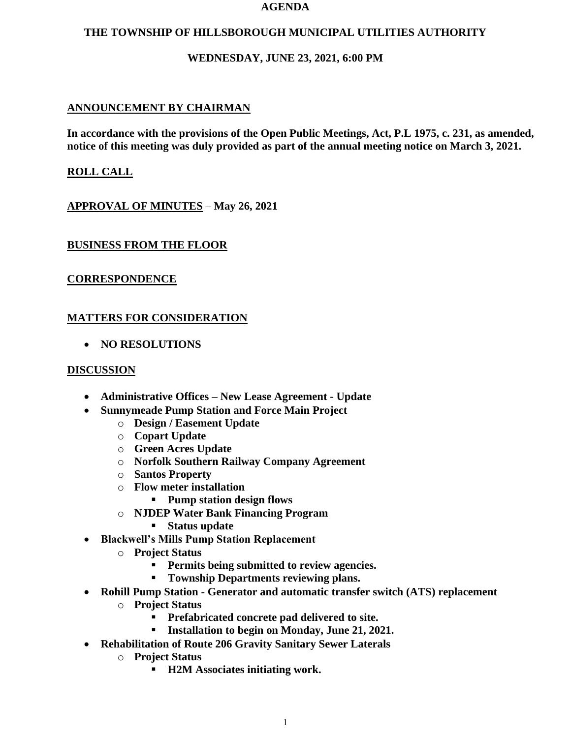#### **AGENDA**

### **THE TOWNSHIP OF HILLSBOROUGH MUNICIPAL UTILITIES AUTHORITY**

## **WEDNESDAY, JUNE 23, 2021, 6:00 PM**

## **ANNOUNCEMENT BY CHAIRMAN**

**In accordance with the provisions of the Open Public Meetings, Act, P.L 1975, c. 231, as amended, notice of this meeting was duly provided as part of the annual meeting notice on March 3, 2021.**

## **ROLL CALL**

**APPROVAL OF MINUTES** – **May 26, 2021**

## **BUSINESS FROM THE FLOOR**

### **CORRESPONDENCE**

## **MATTERS FOR CONSIDERATION**

• **NO RESOLUTIONS**

#### **DISCUSSION**

- **Administrative Offices – New Lease Agreement - Update**
- **Sunnymeade Pump Station and Force Main Project**
	- o **Design / Easement Update**
	- o **Copart Update**
	- o **Green Acres Update**
	- o **Norfolk Southern Railway Company Agreement**
	- o **Santos Property**
	- o **Flow meter installation**
		- **Pump station design flows**
	- o **NJDEP Water Bank Financing Program**
		- **Status update**
- **Blackwell's Mills Pump Station Replacement**
	- o **Project Status**
		- **Permits being submitted to review agencies.**
		- **Township Departments reviewing plans.**
- **Rohill Pump Station - Generator and automatic transfer switch (ATS) replacement**
	- o **Project Status**
		- **Prefabricated concrete pad delivered to site.**
		- **Installation to begin on Monday, June 21, 2021.**
- **Rehabilitation of Route 206 Gravity Sanitary Sewer Laterals**
	- o **Project Status**
		- **H2M Associates initiating work.**